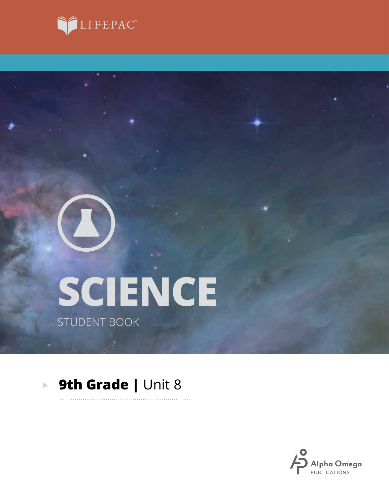



# **SCIENCE** STUDENT BOOK

#### **9th Grade | Unit 8**  $\blacktriangleright$

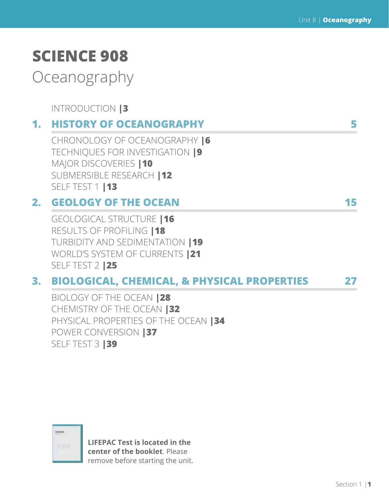# **SCIENCE 908**

Oceanography

INTRODUCTION **|3**

### **1. HISTORY OF OCEANOGRAPHY 5**

CHRONOLOGY OF OCEANOGRAPHY **|6** TECHNIQUES FOR INVESTIGATION **|9** MAJOR DISCOVERIES **|10** SUBMERSIBLE RESEARCH **|12** SELF TEST 1 **|13**

### **2. GEOLOGY OF THE OCEAN 15**

GEOLOGICAL STRUCTURE **|16** RESULTS OF PROFILING **|18** TURBIDITY AND SEDIMENTATION **|19** WORLD'S SYSTEM OF CURRENTS **|21** SELF TEST 2 **|25**

### **3. BIOLOGICAL, CHEMICAL, & PHYSICAL PROPERTIES 27**

BIOLOGY OF THE OCEAN **|28** CHEMISTRY OF THE OCEAN **|32** PHYSICAL PROPERTIES OF THE OCEAN **|34** POWER CONVERSION **|37** SELF TEST 3 **|39**



**LIFEPAC Test is located in the center of the booklet**. Please remove before starting the unit.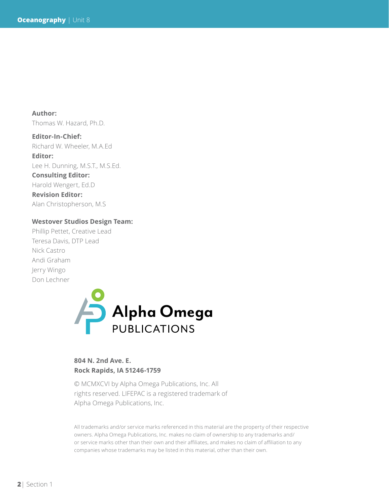**Author:**  Thomas W. Hazard, Ph.D.

**Editor-In-Chief:** Richard W. Wheeler, M.A.Ed **Editor:** Lee H. Dunning, M.S.T., M.S.Ed. **Consulting Editor:** Harold Wengert, Ed.D **Revision Editor:**

Alan Christopherson, M.S

#### **Westover Studios Design Team:**

Phillip Pettet, Creative Lead Teresa Davis, DTP Lead Nick Castro Andi Graham Jerry Wingo Don Lechner



#### **804 N. 2nd Ave. E. Rock Rapids, IA 51246-1759**

© MCMXCVI by Alpha Omega Publications, Inc. All rights reserved. LIFEPAC is a registered trademark of Alpha Omega Publications, Inc.

All trademarks and/or service marks referenced in this material are the property of their respective owners. Alpha Omega Publications, Inc. makes no claim of ownership to any trademarks and/ or service marks other than their own and their affiliates, and makes no claim of affiliation to any companies whose trademarks may be listed in this material, other than their own.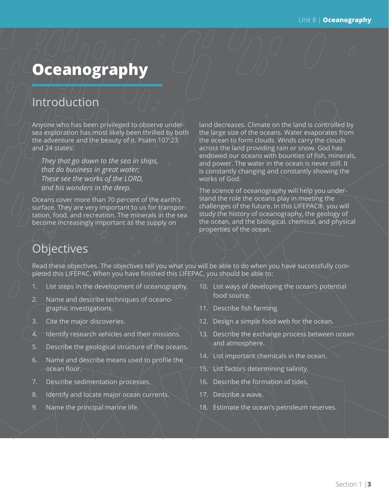# **Oceanography**

## Introduction

Anyone who has been privileged to observe undersea exploration has most likely been thrilled by both the adventure and the beauty of it. Psalm 107:23 and 24 states:

*They that go down to the sea in ships, that do business in great water; These see the works of the LORD, and his wonders in the deep.*

Oceans cover more than 70 percent of the earth's surface. They are very important to us for transportation, food, and recreation. The minerals in the sea become increasingly important as the supply on

land decreases. Climate on the land is controlled by the large size of the oceans. Water evaporates from the ocean to form clouds. Winds carry the clouds across the land providing rain or snow. God has endowed our oceans with bounties of fish, minerals, and power. The water in the ocean is never still. It is constantly changing and constantly showing the works of God.

The science of oceanography will help you understand the role the oceans play in meeting the challenges of the future. In this LIFEPAC®, you will study the history of oceanography, the geology of the ocean, and the biological, chemical, and physical properties of the ocean.

# **Objectives**

Read these objectives. The objectives tell you what you will be able to do when you have successfully completed this LIFEPAC. When you have finished this LIFEPAC, you should be able to:

- 1. List steps in the development of oceanography.
- 2. Name and describe techniques of oceanographic investigations.
- 3. Cite the major discoveries.
- 4. Identify research vehicles and their missions.
- 5. Describe the geological structure of the oceans.
- 6. Name and describe means used to profile the ocean floor.
- 7. Describe sedimentation processes.
- 8. Identify and locate major ocean currents.
- 9. Name the principal marine life.
- 10. List ways of developing the ocean's potential food source.
- 11. Describe fish farming.
- 12. Design a simple food web for the ocean.
- 13. Describe the exchange process between ocean and atmosphere.
- 14. List important chemicals in the ocean.
- 15. List factors determining salinity.
- 16. Describe the formation of tides.
- 17. Describe a wave.
- 18. Estimate the ocean's petroleum reserves.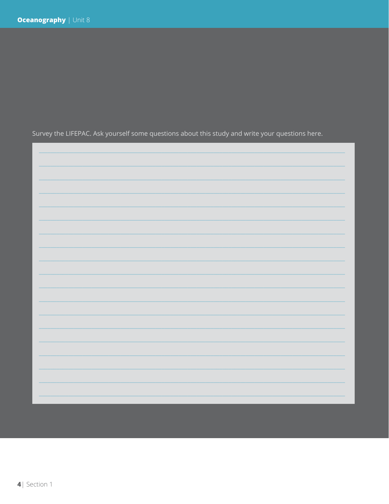Survey the LIFEPAC. Ask yourself some questions about this study and write your questions here.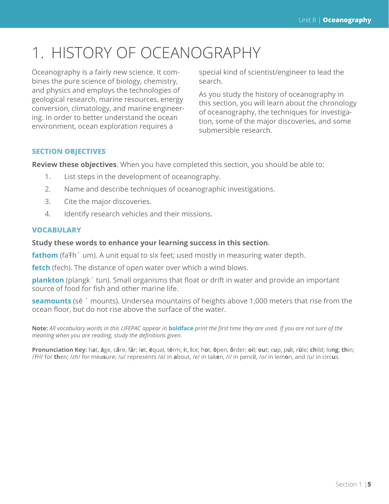# 1. HISTORY OF OCEANOGRAPHY

Oceanography is a fairly new science. It combines the pure science of biology, chemistry, and physics and employs the technologies of geological research, marine resources, energy conversion, climatology, and marine engineering. In order to better understand the ocean environment, ocean exploration requires a

special kind of scientist/engineer to lead the search.

As you study the history of oceanography in this section, you will learn about the chronology of oceanography, the techniques for investigation, some of the major discoveries, and some submersible research.

#### **SECTION OBJECTIVES**

**Review these objectives**. When you have completed this section, you should be able to:

- 1. List steps in the development of oceanography.
- 2. Name and describe techniques of oceanographic investigations.
- 3. Cite the major discoveries.
- 4. Identify research vehicles and their missions.

#### **VOCABULARY**

#### **Study these words to enhance your learning success in this section**.

**fathom** (fa<sub>Th</sub><sup> $\prime$ </sup> um). A unit equal to six feet; used mostly in measuring water depth.

**fetch** (fech). The distance of open water over which a wind blows.

**plankton** (plangk´ tun). Small organisms that float or drift in water and provide an important source of food for fish and other marine life.

**seamounts** (sē ´ mounts). Undersea mountains of heights above 1,000 meters that rise from the ocean floor, but do not rise above the surface of the water.

**Note:** *All vocabulary words in this LIFEPAC appear in* **boldface** *print the first time they are used. If you are not sure of the meaning when you are reading, study the definitions given.*

Pronunciation Key: hat, āge, cãre, fär; let, ēqual, tėrm; it, īce; hot, ōpen, ôrder; oil; out; cup, put, rüle; child; long; thin; /FH/ for then; /zh/ for measure; /u/ represents /a/ in about, /e/ in taken, /i/ in pencil, /o/ in lemon, and /u/ in circus.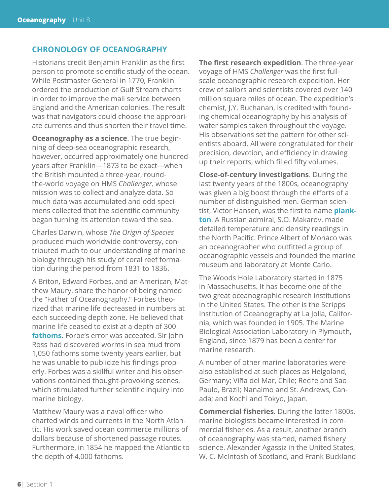#### **CHRONOLOGY OF OCEANOGRAPHY**

Historians credit Benjamin Franklin as the first person to promote scientific study of the ocean. While Postmaster General in 1770, Franklin ordered the production of Gulf Stream charts in order to improve the mail service between England and the American colonies. The result was that navigators could choose the appropriate currents and thus shorten their travel time.

**Oceanography as a science**. The true beginning of deep-sea oceanographic research, however, occurred approximately one hundred years after Franklin—1873 to be exact—when the British mounted a three-year, roundthe-world voyage on HMS *Challenger,* whose mission was to collect and analyze data. So much data was accumulated and odd specimens collected that the scientific community began turning its attention toward the sea.

Charles Darwin, whose *The Origin of Species* produced much worldwide controversy, contributed much to our understanding of marine biology through his study of coral reef formation during the period from 1831 to 1836.

A Briton, Edward Forbes, and an American, Matthew Maury, share the honor of being named the "Father of Oceanography." Forbes theorized that marine life decreased in numbers at each succeeding depth zone. He believed that marine life ceased to exist at a depth of 300 **fathoms**. Forbe's error was accepted. Sir John Ross had discovered worms in sea mud from 1,050 fathoms some twenty years earlier, but he was unable to publicize his findings properly. Forbes was a skillful writer and his observations contained thought-provoking scenes, which stimulated further scientific inquiry into marine biology.

Matthew Maury was a naval officer who charted winds and currents in the North Atlantic. His work saved ocean commerce millions of dollars because of shortened passage routes. Furthermore, in 1854 he mapped the Atlantic to the depth of 4,000 fathoms.

**The first research expedition**. The three-year voyage of HMS *Challenger* was the first fullscale oceanographic research expedition. Her crew of sailors and scientists covered over 140 million square miles of ocean. The expedition's chemist, J.Y. Buchanan, is credited with founding chemical oceanography by his analysis of water samples taken throughout the voyage. His observations set the pattern for other scientists aboard. All were congratulated for their precision, devotion, and efficiency in drawing up their reports, which filled fifty volumes.

**Close-of-century investigations**. During the last twenty years of the 1800s, oceanography was given a big boost through the efforts of a number of distinguished men. German scientist, Victor Hansen, was the first to name **plankton**. A Russian admiral, S.O. Makarov, made detailed temperature and density readings in the North Pacific. Prince Albert of Monaco was an oceanographer who outfitted a group of oceanographic vessels and founded the marine museum and laboratory at Monte Carlo.

The Woods Hole Laboratory started in 1875 in Massachusetts. It has become one of the two great oceanographic research institutions in the United States. The other is the Scripps Institution of Oceanography at La Jolla, California, which was founded in 1905. The Marine Biological Association Laboratory in Plymouth, England, since 1879 has been a center for marine research.

A number of other marine laboratories were also established at such places as Helgoland, Germany; Viña del Mar, Chile; Recife and Sao Paulo, Brazil; Nanaimo and St. Andrews, Canada; and Kochi and Tokyo, Japan.

**Commercial fisheries**. During the latter 1800s, marine biologists became interested in commercial fisheries. As a result, another branch of oceanography was started, named fishery science. Alexander Agassiz in the United States, W. C. McIntosh of Scotland, and Frank Buckland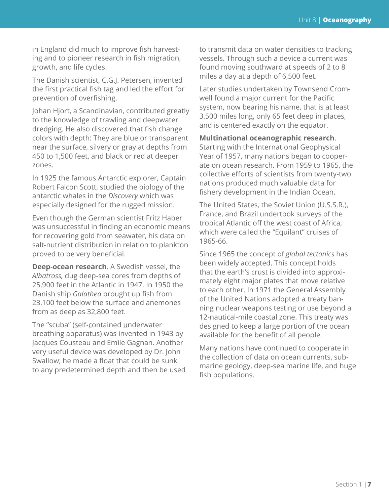in England did much to improve fish harvesting and to pioneer research in fish migration, growth, and life cycles.

The Danish scientist, C.G.J. Petersen, invented the first practical fish tag and led the effort for prevention of overfishing.

Johan Hjort, a Scandinavian, contributed greatly to the knowledge of trawling and deepwater dredging. He also discovered that fish change colors with depth: They are blue or transparent near the surface, silvery or gray at depths from 450 to 1,500 feet, and black or red at deeper zones.

In 1925 the famous Antarctic explorer, Captain Robert Falcon Scott, studied the biology of the antarctic whales in the *Discovery* which was especially designed for the rugged mission.

Even though the German scientist Fritz Haber was unsuccessful in finding an economic means for recovering gold from seawater, his data on salt-nutrient distribution in relation to plankton proved to be very beneficial.

**Deep-ocean research**. A Swedish vessel, the *Albatross,* dug deep-sea cores from depths of 25,900 feet in the Atlantic in 1947. In 1950 the Danish ship *Galathea* brought up fish from 23,100 feet below the surface and anemones from as deep as 32,800 feet.

The "scuba" (self-contained underwater breathing apparatus) was invented in 1943 by Jacques Cousteau and Emile Gagnan. Another very useful device was developed by Dr. John Swallow; he made a float that could be sunk to any predetermined depth and then be used to transmit data on water densities to tracking vessels. Through such a device a current was found moving southward at speeds of 2 to 8 miles a day at a depth of 6,500 feet.

Later studies undertaken by Townsend Cromwell found a major current for the Pacific system, now bearing his name, that is at least 3,500 miles long, only 65 feet deep in places, and is centered exactly on the equator.

#### **Multinational oceanographic research**.

Starting with the International Geophysical Year of 1957, many nations began to cooperate on ocean research. From 1959 to 1965, the collective efforts of scientists from twenty-two nations produced much valuable data for fishery development in the Indian Ocean.

The United States, the Soviet Union (U.S.S.R.), France, and Brazil undertook surveys of the tropical Atlantic off the west coast of Africa, which were called the "Equilant" cruises of 1965-66.

Since 1965 the concept of *global tectonics* has been widely accepted. This concept holds that the earth's crust is divided into approximately eight major plates that move relative to each other. In 1971 the General Assembly of the United Nations adopted a treaty banning nuclear weapons testing or use beyond a 12-nautical-mile coastal zone. This treaty was designed to keep a large portion of the ocean available for the benefit of all people.

Many nations have continued to cooperate in the collection of data on ocean currents, submarine geology, deep-sea marine life, and huge fish populations.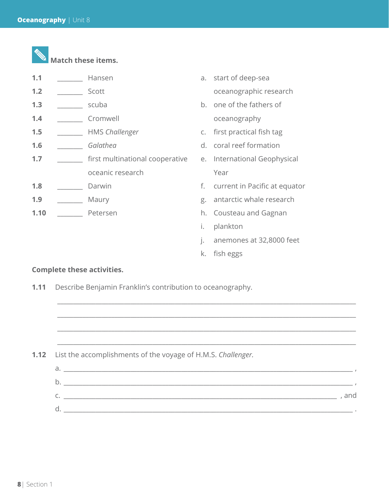|  |  |  | Match these items |
|--|--|--|-------------------|
|--|--|--|-------------------|

| 1.1 | Hansen                          |    | a. start of deep-sea          |
|-----|---------------------------------|----|-------------------------------|
| 1.2 | Scott                           |    | oceanographic research        |
| 1.3 | scuba                           |    | b. one of the fathers of      |
| 1.4 | Cromwell                        |    | oceanography                  |
| 1.5 | <b>HMS Challenger</b>           |    | c. first practical fish tag   |
| 1.6 | Galathea                        |    | d. coral reef formation       |
| 1,7 | first multinational cooperative |    | e. International Geophysical  |
|     | oceanic research                |    | Year                          |
| 1.8 | Darwin                          | f. | current in Pacific at equator |
| 1.9 | Maury                           | g. | antarctic whale research      |
|     |                                 |    |                               |

- 
- 
- 
- **1.10** \_\_\_\_\_\_\_\_ Petersen **h.** Cousteau and Gagnan
	- i. plankton
	- j. anemones at 32,8000 feet
	- k. fish eggs

#### **Complete these activities.**

**1.11** Describe Benjamin Franklin's contribution to oceanography.

**1.12** List the accomplishments of the voyage of H.M.S. *Challenger.*

| a.           |       |
|--------------|-------|
| b            |       |
| $\sim$<br>J. | , and |
| d            |       |

\_\_\_\_\_\_\_\_\_\_\_\_\_\_\_\_\_\_\_\_\_\_\_\_\_\_\_\_\_\_\_\_\_\_\_\_\_\_\_\_\_\_\_\_\_\_\_\_\_\_\_\_\_\_\_\_\_\_\_\_\_\_\_\_\_\_\_\_\_\_\_\_\_\_\_\_\_\_\_\_\_\_\_\_\_\_\_\_\_\_\_\_\_\_

\_\_\_\_\_\_\_\_\_\_\_\_\_\_\_\_\_\_\_\_\_\_\_\_\_\_\_\_\_\_\_\_\_\_\_\_\_\_\_\_\_\_\_\_\_\_\_\_\_\_\_\_\_\_\_\_\_\_\_\_\_\_\_\_\_\_\_\_\_\_\_\_\_\_\_\_\_\_\_\_\_\_\_\_\_\_\_\_\_\_\_\_\_\_

\_\_\_\_\_\_\_\_\_\_\_\_\_\_\_\_\_\_\_\_\_\_\_\_\_\_\_\_\_\_\_\_\_\_\_\_\_\_\_\_\_\_\_\_\_\_\_\_\_\_\_\_\_\_\_\_\_\_\_\_\_\_\_\_\_\_\_\_\_\_\_\_\_\_\_\_\_\_\_\_\_\_\_\_\_\_\_\_\_\_\_\_\_\_

\_\_\_\_\_\_\_\_\_\_\_\_\_\_\_\_\_\_\_\_\_\_\_\_\_\_\_\_\_\_\_\_\_\_\_\_\_\_\_\_\_\_\_\_\_\_\_\_\_\_\_\_\_\_\_\_\_\_\_\_\_\_\_\_\_\_\_\_\_\_\_\_\_\_\_\_\_\_\_\_\_\_\_\_\_\_\_\_\_\_\_\_\_\_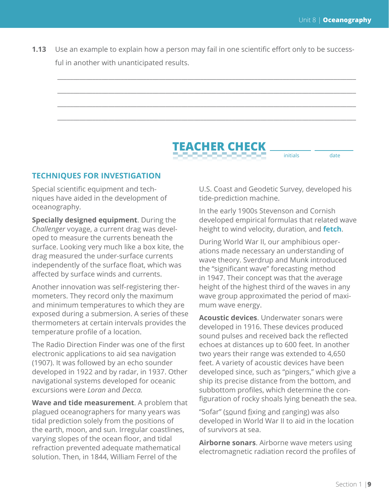**1.13** Use an example to explain how a person may fail in one scientific effort only to be successful in another with unanticipated results.



#### **TECHNIQUES FOR INVESTIGATION**

Special scientific equipment and techniques have aided in the development of oceanography.

**Specially designed equipment**. During the *Challenger* voyage, a current drag was developed to measure the currents beneath the surface. Looking very much like a box kite, the drag measured the under-surface currents independently of the surface float, which was affected by surface winds and currents.

Another innovation was self-registering thermometers. They record only the maximum and minimum temperatures to which they are exposed during a submersion. A series of these thermometers at certain intervals provides the temperature profile of a location.

The Radio Direction Finder was one of the first electronic applications to aid sea navigation (1907). It was followed by an echo sounder developed in 1922 and by radar, in 1937. Other navigational systems developed for oceanic excursions were *Loran* and *Decca.*

**Wave and tide measurement**. A problem that plagued oceanographers for many years was tidal prediction solely from the positions of the earth, moon, and sun. Irregular coastlines, varying slopes of the ocean floor, and tidal refraction prevented adequate mathematical solution. Then, in 1844, William Ferrel of the

U.S. Coast and Geodetic Survey, developed his tide-prediction machine.

initials date

In the early 1900s Stevenson and Cornish developed empirical formulas that related wave height to wind velocity, duration, and **fetch**.

During World War II, our amphibious operations made necessary an understanding of wave theory. Sverdrup and Munk introduced the "significant wave" forecasting method in 1947. Their concept was that the average height of the highest third of the waves in any wave group approximated the period of maximum wave energy.

**Acoustic devices**. Underwater sonars were developed in 1916. These devices produced sound pulses and received back the reflected echoes at distances up to 600 feet. In another two years their range was extended to 4,650 feet. A variety of acoustic devices have been developed since, such as "pingers," which give a ship its precise distance from the bottom, and subbottom profiles, which determine the configuration of rocky shoals lying beneath the sea.

"Sofar" (sound fixing and ranging) was also developed in World War II to aid in the location of survivors at sea.

**Airborne sonars**. Airborne wave meters using electromagnetic radiation record the profiles of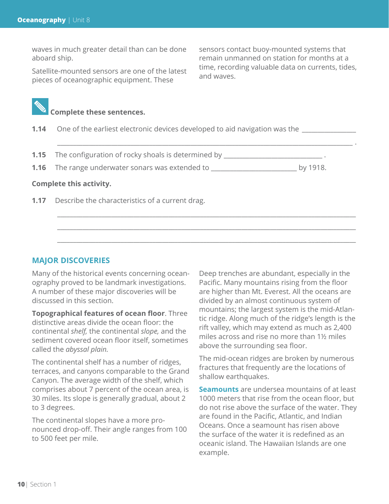waves in much greater detail than can be done aboard ship.

Satellite-mounted sensors are one of the latest pieces of oceanographic equipment. These

sensors contact buoy-mounted systems that remain unmanned on station for months at a time, recording valuable data on currents, tides, and waves.



- **1.14** One of the earliest electronic devices developed to aid navigation was the
- **1.15** The configuration of rocky shoals is determined by \_\_\_\_\_\_\_\_\_\_\_\_\_\_\_\_\_\_\_\_\_\_
- **1.16** The range underwater sonars was extended to \_\_\_\_\_\_\_\_\_\_\_\_\_\_\_\_\_\_\_\_\_\_\_\_\_\_\_ by 1918.

\_\_\_\_\_\_\_\_\_\_\_\_\_\_\_\_\_\_\_\_\_\_\_\_\_\_\_\_\_\_\_\_\_\_\_\_\_\_\_\_\_\_\_\_\_\_\_\_\_\_\_\_\_\_\_\_\_\_\_\_\_\_\_\_\_\_\_\_\_\_\_\_\_\_\_\_\_\_\_\_\_\_\_\_\_\_\_\_\_\_\_\_\_ .

\_\_\_\_\_\_\_\_\_\_\_\_\_\_\_\_\_\_\_\_\_\_\_\_\_\_\_\_\_\_\_\_\_\_\_\_\_\_\_\_\_\_\_\_\_\_\_\_\_\_\_\_\_\_\_\_\_\_\_\_\_\_\_\_\_\_\_\_\_\_\_\_\_\_\_\_\_\_\_\_\_\_\_\_\_\_\_\_\_\_\_\_\_\_ \_\_\_\_\_\_\_\_\_\_\_\_\_\_\_\_\_\_\_\_\_\_\_\_\_\_\_\_\_\_\_\_\_\_\_\_\_\_\_\_\_\_\_\_\_\_\_\_\_\_\_\_\_\_\_\_\_\_\_\_\_\_\_\_\_\_\_\_\_\_\_\_\_\_\_\_\_\_\_\_\_\_\_\_\_\_\_\_\_\_\_\_\_\_ \_\_\_\_\_\_\_\_\_\_\_\_\_\_\_\_\_\_\_\_\_\_\_\_\_\_\_\_\_\_\_\_\_\_\_\_\_\_\_\_\_\_\_\_\_\_\_\_\_\_\_\_\_\_\_\_\_\_\_\_\_\_\_\_\_\_\_\_\_\_\_\_\_\_\_\_\_\_\_\_\_\_\_\_\_\_\_\_\_\_\_\_\_\_

#### **Complete this activity.**

**1.17** Describe the characteristics of a current drag.

#### **MAJOR DISCOVERIES**

Many of the historical events concerning oceanography proved to be landmark investigations. A number of these major discoveries will be discussed in this section.

**Topographical features of ocean floor**. Three distinctive areas divide the ocean floor: the continental *shelf,* the continental *slope,* and the sediment covered ocean floor itself, sometimes called the *abyssal plain.*

The continental shelf has a number of ridges, terraces, and canyons comparable to the Grand Canyon. The average width of the shelf, which comprises about 7 percent of the ocean area, is 30 miles. Its slope is generally gradual, about 2 to 3 degrees.

The continental slopes have a more pronounced drop-off. Their angle ranges from 100 to 500 feet per mile.

Deep trenches are abundant, especially in the Pacific. Many mountains rising from the floor are higher than Mt. Everest. All the oceans are divided by an almost continuous system of mountains; the largest system is the mid-Atlantic ridge. Along much of the ridge's length is the rift valley, which may extend as much as 2,400 miles across and rise no more than 1½ miles above the surrounding sea floor.

The mid-ocean ridges are broken by numerous fractures that frequently are the locations of shallow earthquakes.

**Seamounts** are undersea mountains of at least 1000 meters that rise from the ocean floor, but do not rise above the surface of the water. They are found in the Pacific, Atlantic, and Indian Oceans. Once a seamount has risen above the surface of the water it is redefined as an oceanic island. The Hawaiian Islands are one example.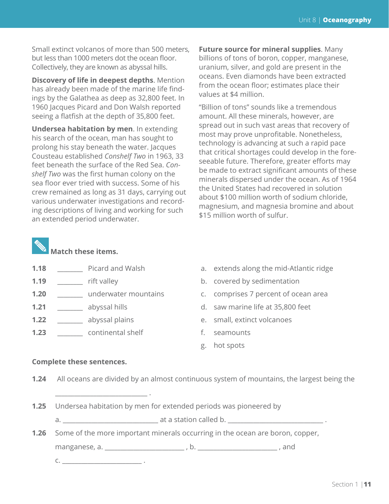Small extinct volcanos of more than 500 meters, but less than 1000 meters dot the ocean floor. Collectively, they are known as abyssal hills.

**Discovery of life in deepest depths**. Mention has already been made of the marine life findings by the Galathea as deep as 32,800 feet. In 1960 Jacques Picard and Don Walsh reported seeing a flatfish at the depth of 35,800 feet.

**Undersea habitation by men**. In extending his search of the ocean, man has sought to prolong his stay beneath the water. Jacques Cousteau established *Conshelf Two* in 1963, 33 feet beneath the surface of the Red Sea. *Conshelf Two* was the first human colony on the sea floor ever tried with success. Some of his crew remained as long as 31 days, carrying out various underwater investigations and recording descriptions of living and working for such an extended period underwater.

**Future source for mineral supplies**. Many billions of tons of boron, copper, manganese, uranium, silver, and gold are present in the oceans. Even diamonds have been extracted from the ocean floor; estimates place their values at \$4 million.

"Billion of tons" sounds like a tremendous amount. All these minerals, however, are spread out in such vast areas that recovery of most may prove unprofitable. Nonetheless, technology is advancing at such a rapid pace that critical shortages could develop in the foreseeable future. Therefore, greater efforts may be made to extract significant amounts of these minerals dispersed under the ocean. As of 1964 the United States had recovered in solution about \$100 million worth of sodium chloride, magnesium, and magnesia bromine and about \$15 million worth of sulfur.



### **Match these items.**

- 
- 
- **1.20 1.20 underwater mountains c.** comprises 7 percent of ocean area
- 
- **1.22 abyssal plains e.** small, extinct volcanoes
- **1.23 continental shelf** f. seamounts
- **1.18** Picard and Walsh a. extends along the mid-Atlantic ridge
- **1.19** \_\_\_\_\_\_\_\_ rift valley b. covered by sedimentation
	-
- **1.21** \_\_\_\_\_\_\_\_\_ abyssal hills d. saw marine life at 35,800 feet
	-
	-
	- g. hot spots

#### **Complete these sentences.**

**1.24** All oceans are divided by an almost continuous system of mountains, the largest being the

- **1.25** Undersea habitation by men for extended periods was pioneered by
	- a. \_\_\_\_\_\_\_\_\_\_\_\_\_\_\_\_\_\_\_\_\_\_\_\_\_\_\_\_\_\_ at a station called b. \_\_\_\_\_\_\_\_\_\_\_\_\_\_\_\_\_\_\_\_\_\_\_\_\_\_\_\_\_\_ .
- **1.26** Some of the more important minerals occurring in the ocean are boron, copper,

manganese, a. \_\_\_\_\_\_\_\_\_\_\_\_\_\_\_\_\_\_\_\_\_\_\_\_\_ , b. \_\_\_\_\_\_\_\_\_\_\_\_\_\_\_\_\_\_\_\_\_\_\_\_\_ , and

c. \_\_\_\_\_\_\_\_\_\_\_\_\_\_\_\_\_\_\_\_\_\_\_\_\_ .

\_\_\_\_\_\_\_\_\_\_\_\_\_\_\_\_\_\_\_\_\_\_\_\_\_\_\_\_\_ .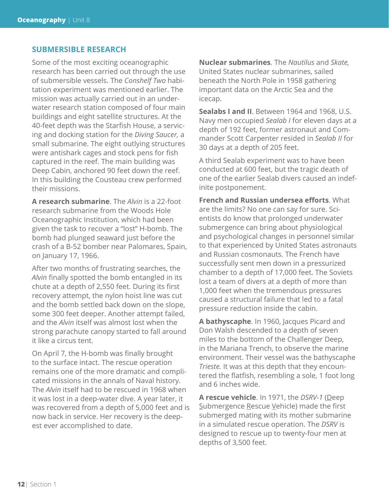#### **SUBMERSIBLE RESEARCH**

Some of the most exciting oceanographic research has been carried out through the use of submersible vessels. The *Conshelf Two* habitation experiment was mentioned earlier. The mission was actually carried out in an underwater research station composed of four main buildings and eight satellite structures. At the 40-feet depth was the Starfish House, a servicing and docking station for the *Diving Saucer,* a small submarine. The eight outlying structures were antishark cages and stock pens for fish captured in the reef. The main building was Deep Cabin, anchored 90 feet down the reef. In this building the Cousteau crew performed their missions.

**A research submarine**. The *Alvin* is a 22-foot research submarine from the Woods Hole Oceanographic Institution, which had been given the task to recover a "lost" H-bomb. The bomb had plunged seaward just before the crash of a B-52 bomber near Palomares, Spain, on January 17, 1966.

After two months of frustrating searches, the *Alvin* finally spotted the bomb entangled in its chute at a depth of 2,550 feet. During its first recovery attempt, the nylon hoist line was cut and the bomb settled back down on the slope, some 300 feet deeper. Another attempt failed, and the *Alvin* itself was almost lost when the strong parachute canopy started to fall around it like a circus tent.

On April 7, the H-bomb was finally brought to the surface intact. The rescue operation remains one of the more dramatic and complicated missions in the annals of Naval history. The *Alvin* itself had to be rescued in 1968 when it was lost in a deep-water dive. A year later, it was recovered from a depth of 5,000 feet and is now back in service. Her recovery is the deepest ever accomplished to date.

**Nuclear submarines**. The *Nautilus* and *Skate,*  United States nuclear submarines, sailed beneath the North Pole in 1958 gathering important data on the Arctic Sea and the icecap.

**Sealabs I and II**. Between 1964 and 1968, U.S. Navy men occupied *Sealab I* for eleven days at a depth of 192 feet, former astronaut and Commander Scott Carpenter resided in *Sealab II* for 30 days at a depth of 205 feet.

A third Sealab experiment was to have been conducted at 600 feet, but the tragic death of one of the earlier Sealab divers caused an indefinite postponement.

**French and Russian undersea efforts**. What are the limits? No one can say for sure. Scientists do know that prolonged underwater submergence can bring about physiological and psychological changes in personnel similar to that experienced by United States astronauts and Russian cosmonauts. The French have successfully sent men down in a pressurized chamber to a depth of 17,000 feet. The Soviets lost a team of divers at a depth of more than 1,000 feet when the tremendous pressures caused a structural failure that led to a fatal pressure reduction inside the cabin.

**A bathyscaphe**. In 1960, Jacques Picard and Don Walsh descended to a depth of seven miles to the bottom of the Challenger Deep, in the Mariana Trench, to observe the marine environment. Their vessel was the bathyscaphe *Trieste.* It was at this depth that they encountered the flatfish, resembling a sole, 1 foot long and 6 inches wide.

**A rescue vehicle**. In 1971, the *DSRV-1* (Deep Submergence Rescue Vehicle) made the first submerged mating with its mother submarine in a simulated rescue operation. The *DSRV* is designed to rescue up to twenty-four men at depths of 3,500 feet.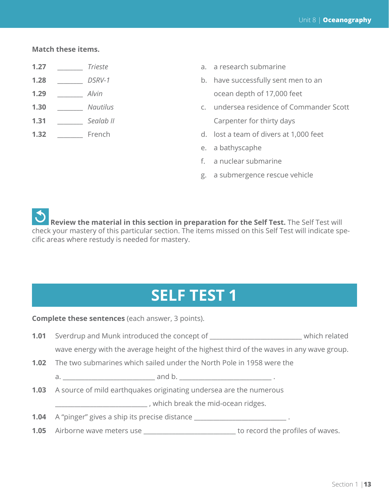#### **Match these items.**

- 
- 
- 
- 
- 
- 
- **1.27** *Trieste* **a.** a research submarine
- **1.28** \_\_\_\_\_\_\_ *DSRV-1* b. have successfully sent men to an **1.29** \_\_\_\_\_\_\_\_ *Alvin* 2.29 and 2.29 and 2.29 and 2.29 and 2.29 and 2.29 and 2.29 and 2.29 and 2.29 and 2.20 and 2.20 and 2.20 and 2.20 and 2.20 and 2.20 and 2.20 and 2.20 and 2.20 and 2.20 and 2.20 and 2.20 and 2.20 and
- **1.30** \_\_\_\_\_\_\_\_ *Nautilus* c. undersea residence of Commander Scott **1.31** \_\_\_\_\_\_\_\_\_ *Sealab II* Carpenter for thirty days
- **1.32** \_\_\_\_\_\_\_\_\_ French d. lost a team of divers at 1,000 feet
	- e. a bathyscaphe
	- f. a nuclear submarine
	- g. a submergence rescue vehicle

 **Review the material in this section in preparation for the Self Test.** The Self Test will check your mastery of this particular section. The items missed on this Self Test will indicate specific areas where restudy is needed for mastery.

# **SELF TEST 1**

**Complete these sentences** (each answer, 3 points).

- **1.01** Sverdrup and Munk introduced the concept of \_\_\_\_\_\_\_\_\_\_\_\_\_\_\_\_\_\_\_\_\_\_\_\_\_\_\_\_\_ which related wave energy with the average height of the highest third of the waves in any wave group.
- **1.02** The two submarines which sailed under the North Pole in 1958 were the

a. \_\_\_\_\_\_\_\_\_\_\_\_\_\_\_\_\_\_\_\_\_\_\_\_\_\_\_\_\_ and b. \_\_\_\_\_\_\_\_\_\_\_\_\_\_\_\_\_\_\_\_\_\_\_\_\_\_\_\_\_ .

**1.03** A source of mild earthquakes originating undersea are the numerous

\_\_\_\_\_\_\_\_\_\_\_\_\_\_\_\_\_\_\_\_\_\_\_\_\_\_\_\_\_ , which break the mid-ocean ridges.

- **1.04** A "pinger" gives a ship its precise distance \_\_\_\_\_\_\_\_\_\_\_\_\_\_\_\_\_\_\_\_\_\_\_\_\_\_\_\_\_.
- **1.05** Airborne wave meters use \_\_\_\_\_\_\_\_\_\_\_\_\_\_\_\_\_\_\_\_\_\_\_\_\_\_\_\_\_ to record the profiles of waves.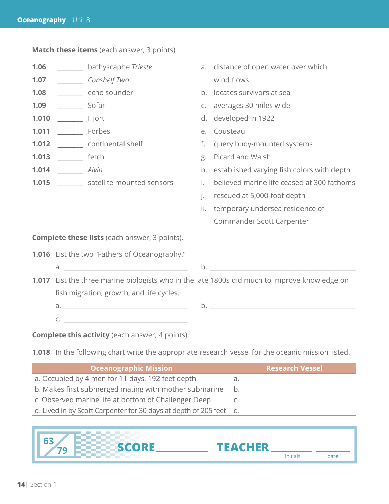**Match these items** (each answer, 3 points) **1.06** \_\_\_\_\_\_\_\_\_ bathyscaphe *Trieste* a. distance of open water over which **1.07** \_\_\_\_\_\_\_\_ *Conshelf Two* wind flows **1.08** \_\_\_\_\_\_\_\_\_ echo sounder b. locates survivors at sea **1.09** \_\_\_\_\_\_\_\_\_ Sofar c. averages 30 miles wide **1.010** \_\_\_\_\_\_\_\_ Hjort d. developed in 1922 **1.011** \_\_\_\_\_\_\_\_\_ Forbes e. Cousteau **1.012** \_\_\_\_\_\_\_\_ continental shelf f. query buoy-mounted systems **1.013** \_\_\_\_\_\_\_\_ fetch g. Picard and Walsh **1.014** \_\_\_\_\_\_\_\_ *Alvin*  $\qquad \qquad$  h. established varying fish colors with depth **1.015** \_\_\_\_\_\_\_ satellite mounted sensors i. believed marine life ceased at 300 fathoms j. rescued at 5,000-foot depth k. temporary undersea residence of Commander Scott Carpenter **Complete these lists** (each answer, 3 points). **1.016** List the two "Fathers of Oceanography." a. \_\_\_\_\_\_\_\_\_\_\_\_\_\_\_\_\_\_\_\_\_\_\_\_\_\_\_\_\_\_\_\_\_\_\_\_\_\_\_ b. \_\_\_\_\_\_\_\_\_\_\_\_\_\_\_\_\_\_\_\_\_\_\_\_\_\_\_\_\_\_\_\_\_\_\_\_\_\_\_\_\_\_\_\_\_\_ **1.017** List the three marine biologists who in the late 1800s did much to improve knowledge on fish migration, growth, and life cycles. a.  $\Box$ c. \_\_\_\_\_\_\_\_\_\_\_\_\_\_\_\_\_\_\_\_\_\_\_\_\_\_\_\_\_\_\_\_\_\_\_\_\_\_\_

**Complete this activity** (each answer, 4 points).

**1.018** In the following chart write the appropriate research vessel for the oceanic mission listed.

| Oceanographic Mission                                           | <b>Research Vessel</b> |
|-----------------------------------------------------------------|------------------------|
| a. Occupied by 4 men for 11 days, 192 feet depth                | a.                     |
| b. Makes first submerged mating with mother submarine           | b.                     |
| c. Observed marine life at bottom of Challenger Deep            |                        |
| d. Lived in by Scott Carpenter for 30 days at depth of 205 feet | d.                     |